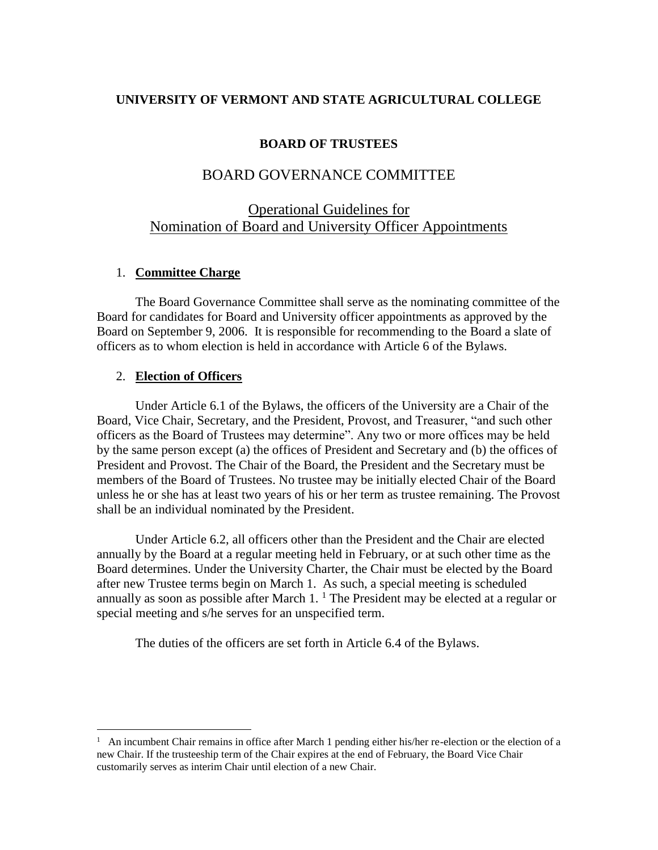### **UNIVERSITY OF VERMONT AND STATE AGRICULTURAL COLLEGE**

## **BOARD OF TRUSTEES**

## BOARD GOVERNANCE COMMITTEE

# Operational Guidelines for Nomination of Board and University Officer Appointments

#### 1. **Committee Charge**

The Board Governance Committee shall serve as the nominating committee of the Board for candidates for Board and University officer appointments as approved by the Board on September 9, 2006. It is responsible for recommending to the Board a slate of officers as to whom election is held in accordance with Article 6 of the Bylaws.

## 2. **Election of Officers**

 $\overline{a}$ 

Under Article 6.1 of the Bylaws, the officers of the University are a Chair of the Board, Vice Chair, Secretary, and the President, Provost, and Treasurer, "and such other officers as the Board of Trustees may determine". Any two or more offices may be held by the same person except (a) the offices of President and Secretary and (b) the offices of President and Provost. The Chair of the Board, the President and the Secretary must be members of the Board of Trustees. No trustee may be initially elected Chair of the Board unless he or she has at least two years of his or her term as trustee remaining. The Provost shall be an individual nominated by the President.

Under Article 6.2, all officers other than the President and the Chair are elected annually by the Board at a regular meeting held in February, or at such other time as the Board determines. Under the University Charter, the Chair must be elected by the Board after new Trustee terms begin on March 1. As such, a special meeting is scheduled annually as soon as possible after March  $1<sup>1</sup>$ . The President may be elected at a regular or special meeting and s/he serves for an unspecified term.

The duties of the officers are set forth in Article 6.4 of the Bylaws.

<sup>&</sup>lt;sup>1</sup> An incumbent Chair remains in office after March 1 pending either his/her re-election or the election of a new Chair. If the trusteeship term of the Chair expires at the end of February, the Board Vice Chair customarily serves as interim Chair until election of a new Chair.